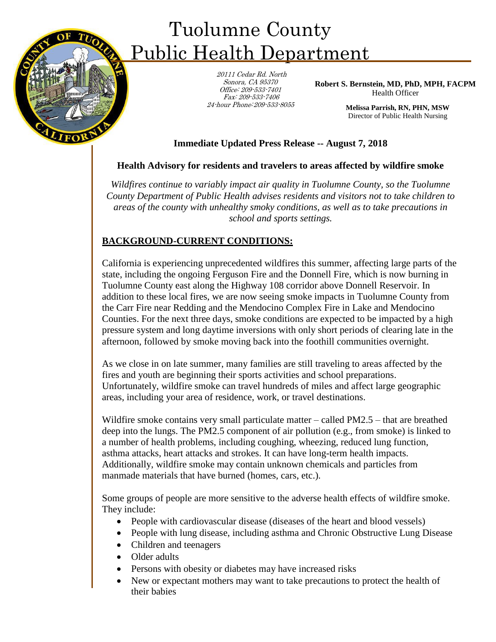

# Tuolumne County Public Health Department

20111 Cedar Rd. North Sonora, CA 95370 Office: 209-533-7401 Fax: 209-533-7406 24-hour Phone: 209-533-8055

**Robert S. Bernstein, MD, PhD, MPH, FACPM**  Health Officer

> **Melissa Parrish, RN, PHN, MSW**  Director of Public Health Nursing

## **Immediate Updated Press Release -- August 7, 2018**

## **Health Advisory for residents and travelers to areas affected by wildfire smoke**

*Wildfires continue to variably impact air quality in Tuolumne County, so the Tuolumne County Department of Public Health advises residents and visitors not to take children to areas of the county with unhealthy smoky conditions, as well as to take precautions in school and sports settings.* 

## **BACKGROUND-CURRENT CONDITIONS:**

California is experiencing unprecedented wildfires this summer, affecting large parts of the state, including the ongoing Ferguson Fire and the Donnell Fire, which is now burning in Tuolumne County east along the Highway 108 corridor above Donnell Reservoir. In addition to these local fires, we are now seeing smoke impacts in Tuolumne County from the Carr Fire near Redding and the Mendocino Complex Fire in Lake and Mendocino Counties. For the next three days, smoke conditions are expected to be impacted by a high pressure system and long daytime inversions with only short periods of clearing late in the afternoon, followed by smoke moving back into the foothill communities overnight.

As we close in on late summer, many families are still traveling to areas affected by the fires and youth are beginning their sports activities and school preparations. Unfortunately, wildfire smoke can travel hundreds of miles and affect large geographic areas, including your area of residence, work, or travel destinations.

Wildfire smoke contains very small particulate matter – called PM2.5 – that are breathed deep into the lungs. The PM2.5 component of air pollution (e.g., from smoke) is linked to a number of health problems, including coughing, wheezing, reduced lung function, asthma attacks, heart attacks and strokes. It can have long-term health impacts. Additionally, wildfire smoke may contain unknown chemicals and particles from manmade materials that have burned (homes, cars, etc.).

Some groups of people are more sensitive to the adverse health effects of wildfire smoke. They include:

- People with cardiovascular disease (diseases of the heart and blood vessels)
- People with lung disease, including asthma and Chronic Obstructive Lung Disease
- Children and teenagers
- Older adults
- Persons with obesity or diabetes may have increased risks
- New or expectant mothers may want to take precautions to protect the health of their babies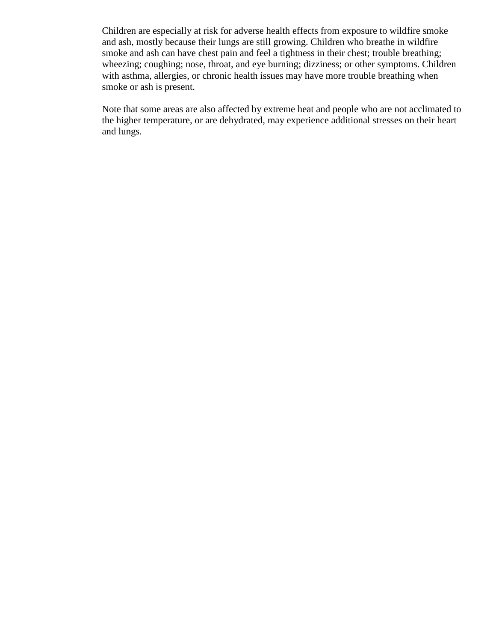Children are especially at risk for adverse health effects from exposure to wildfire smoke and ash, mostly because their lungs are still growing. Children who breathe in wildfire smoke and ash can have chest pain and feel a tightness in their chest; trouble breathing; wheezing; coughing; nose, throat, and eye burning; dizziness; or other symptoms. Children with asthma, allergies, or chronic health issues may have more trouble breathing when smoke or ash is present.

Note that some areas are also affected by extreme heat and people who are not acclimated to the higher temperature, or are dehydrated, may experience additional stresses on their heart and lungs.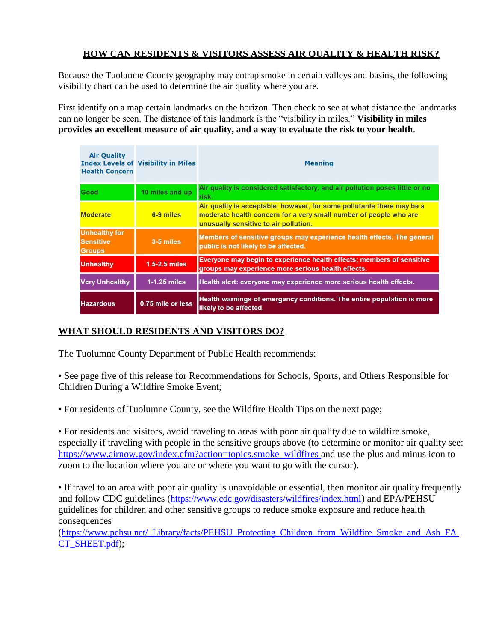### **HOW CAN RESIDENTS & VISITORS ASSESS AIR QUALITY & HEALTH RISK?**

Because the Tuolumne County geography may entrap smoke in certain valleys and basins, the following visibility chart can be used to determine the air quality where you are.

First identify on a map certain landmarks on the horizon. Then check to see at what distance the landmarks can no longer be seen. The distance of this landmark is the "visibility in miles." **Visibility in miles provides an excellent measure of air quality, and a way to evaluate the risk to your health**.

| <b>Air Ouality</b><br><b>Health Concern</b>               | <b>Index Levels of Visibility in Miles</b> | <b>Meaning</b>                                                                                                                                                                       |  |
|-----------------------------------------------------------|--------------------------------------------|--------------------------------------------------------------------------------------------------------------------------------------------------------------------------------------|--|
| Good                                                      | 10 miles and up                            | Air quality is considered satisfactory, and air pollution poses little or no<br>risk.                                                                                                |  |
| <b>Moderate</b>                                           | 6-9 miles                                  | Air quality is acceptable; however, for some pollutants there may be a<br>moderate health concern for a very small number of people who are<br>unusually sensitive to air pollution. |  |
| <b>Unhealthy for</b><br><b>Sensitive</b><br><b>Groups</b> | 3-5 miles                                  | Members of sensitive groups may experience health effects. The general<br>public is not likely to be affected.                                                                       |  |
| <b>Unhealthy</b>                                          | $1.5 - 2.5$ miles                          | Everyone may begin to experience health effects; members of sensitive<br>groups may experience more serious health effects.                                                          |  |
| <b>Very Unhealthy</b>                                     | $1-1.25$ miles                             | Health alert: everyone may experience more serious health effects.                                                                                                                   |  |
| <b>Hazardous</b>                                          | 0.75 mile or less                          | Health warnings of emergency conditions. The entire population is more<br>likely to be affected.                                                                                     |  |

### **WHAT SHOULD RESIDENTS AND VISITORS DO?**

The Tuolumne County Department of Public Health recommends:

• See page five of this release for Recommendations for Schools, Sports, and Others Responsible for Children During a Wildfire Smoke Event;

• For residents of Tuolumne County, see the Wildfire Health Tips on the next page;

• For residents and visitors, avoid traveling to areas with poor air quality due to wildfire smoke, especially if traveling with people in the sensitive groups above (to determine or monitor air quality see: [https://www.airnow.gov/index.cfm?action=topics.smoke\\_wildfires and](https://www.airnow.gov/index.cfm?action=topics.smoke_wildfires) use the plus and minus icon to zoom to the location where you are or where you want to go with the cursor).

• If travel to an area with poor air quality is unavoidable or essential, then monitor air quality frequently and follow CDC guidelines (<https://www.cdc.gov/disasters/wildfires/index.html>) and EPA/PEHSU guidelines for children and other sensitive groups to reduce smoke exposure and reduce health consequences

([https://www.pehsu.net/\\_Library/facts/PEHSU\\_Protecting\\_Children\\_from\\_Wildfire\\_Smoke\\_and\\_Ash\\_FA](https://www.pehsu.net/_Library/facts/PEHSU_Protecting_Children_from_Wildfire_Smoke_and_Ash_FACT_SHEET.pdf)  [CT\\_SHEET.pdf](https://www.pehsu.net/_Library/facts/PEHSU_Protecting_Children_from_Wildfire_Smoke_and_Ash_FACT_SHEET.pdf));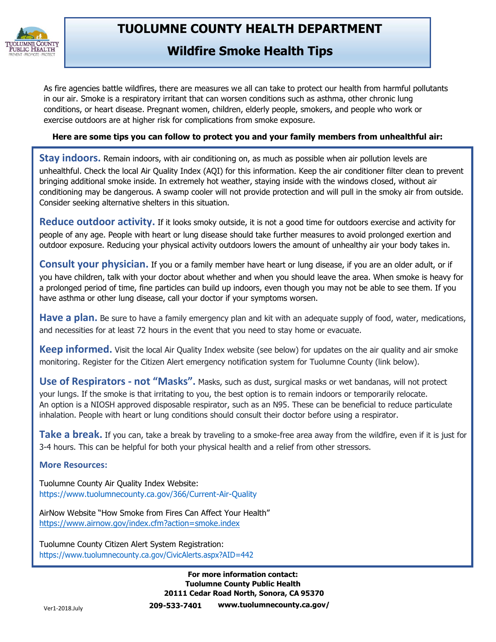

# **TUOLUMNE COUNTY HEALTH DEPARTMENT**

**Wildfire Smoke Health Tips** 

As fire agencies battle wildfires, there are measures we all can take to protect our health from harmful pollutants in our air. Smoke is a respiratory irritant that can worsen conditions such as asthma, other chronic lung conditions, or heart disease. Pregnant women, children, elderly people, smokers, and people who work or exercise outdoors are at higher risk for complications from smoke exposure.

### **Here are some tips you can follow to protect you and your family members from unhealthful air:**

**Stay indoors.** Remain indoors, with air conditioning on, as much as possible when air pollution levels are unhealthful. Check the local Air Quality Index (AQI) for this information. Keep the air conditioner filter clean to prevent bringing additional smoke inside. In extremely hot weather, staying inside with the windows closed, without air conditioning may be dangerous. A swamp cooler will not provide protection and will pull in the smoky air from outside. Consider seeking alternative shelters in this situation.

**Reduce outdoor activity.** If it looks smoky outside, it is not a good time for outdoors exercise and activity for people of any age. People with heart or lung disease should take further measures to avoid prolonged exertion and outdoor exposure. Reducing your physical activity outdoors lowers the amount of unhealthy air your body takes in.

**Consult your physician.** If you or a family member have heart or lung disease, if you are an older adult, or if you have children, talk with your doctor about whether and when you should leave the area. When smoke is heavy for a prolonged period of time, fine particles can build up indoors, even though you may not be able to see them. If you have asthma or other lung disease, call your doctor if your symptoms worsen.

**Have a plan.** Be sure to have a family emergency plan and kit with an adequate supply of food, water, medications, and necessities for at least 72 hours in the event that you need to stay home or evacuate.

**Keep informed.** Visit the local Air Quality Index website (see below) for updates on the air quality and air smoke monitoring. Register for the Citizen Alert emergency notification system for Tuolumne County (link below).

**Use of Respirators - not "Masks".** Masks, such as dust, surgical masks or wet bandanas, will not protect your lungs. If the smoke is that irritating to you, the best option is to remain indoors or temporarily relocate. An option is a NIOSH approved disposable respirator, such as an N95. These can be beneficial to reduce particulate inhalation. People with heart or lung conditions should consult their doctor before using a respirator.

**Take a break.** If you can, take a break by traveling to a smoke-free area away from the wildfire, even if it is just for 3-4 hours. This can be helpful for both your physical health and a relief from other stressors.

#### **More Resources:**

Tuolumne County Air Quality Index Website: [https://www.tuolumnecounty.ca.gov/366/Current-Air-Quality](http://www.mariposacounty.org/index.aspx?NID=1434)

AirNow Website "How Smoke from Fires Can Affect Your Health" <https://www.airnow.gov/index.cfm?action=smoke.index>

Tuolumne County Citizen Alert System Registration: [https://www.tuolumnecounty.ca.gov/CivicAlerts.aspx?AID=442](http://www.tuolumnecounty.ca.gov/CivicAlerts.aspx?AID=442)

> **For more information contact: Tuolumne County Public Health 20111 Cedar Road North, Sonora, CA 95370 209-533-7401 [www.tuolumnecounty.ca.gov/](http://www.tuolumnecounty.ca.gov/)**